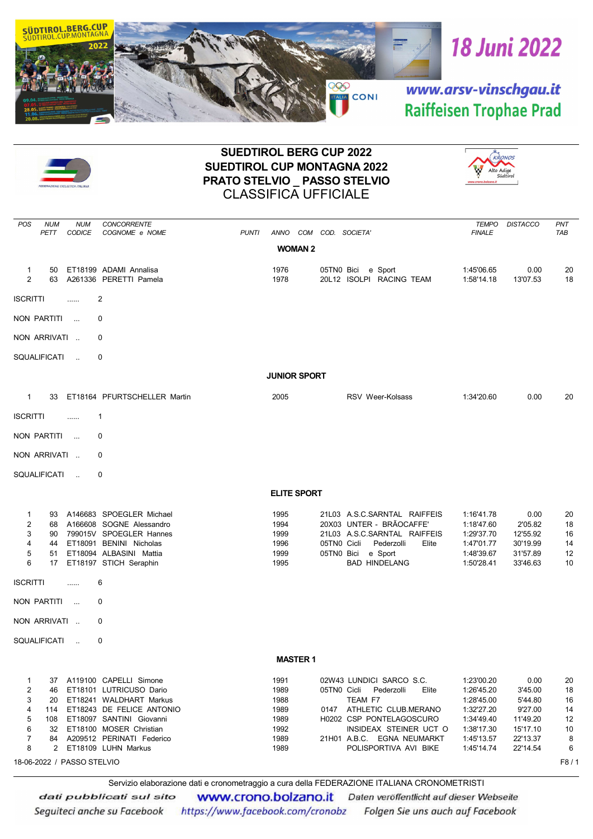



## SUEDTIROL BERG CUP 2022 SUEDTIROL CUP MONTAGNA 2022 PRATO STELVIO \_ PASSO STELVIO CLASSIFICA UFFICIALE



|                                                                 |                                                                      | <b>CONCORRENTE</b>                                                                                                                                                                                                            |                                                              |                                                                                                                                                                                                                  | <b>TEMPO</b>                                                                                                 | <b>DISTACCO</b>                                                                       |                                                    |  |  |
|-----------------------------------------------------------------|----------------------------------------------------------------------|-------------------------------------------------------------------------------------------------------------------------------------------------------------------------------------------------------------------------------|--------------------------------------------------------------|------------------------------------------------------------------------------------------------------------------------------------------------------------------------------------------------------------------|--------------------------------------------------------------------------------------------------------------|---------------------------------------------------------------------------------------|----------------------------------------------------|--|--|
| POS<br>PETT                                                     | <b>NUM</b><br><b>NUM</b><br>CODICE                                   | COGNOME e NOME                                                                                                                                                                                                                | <b>PUNTI</b>                                                 | ANNO COM COD. SOCIETA'                                                                                                                                                                                           | <b>FINALE</b>                                                                                                |                                                                                       | PNT<br>TAB                                         |  |  |
|                                                                 |                                                                      |                                                                                                                                                                                                                               | <b>WOMAN 2</b>                                               |                                                                                                                                                                                                                  |                                                                                                              |                                                                                       |                                                    |  |  |
| $\mathbf{1}$<br>2                                               | 50<br>63                                                             | ET18199 ADAMI Annalisa<br>A261336 PERETTI Pamela                                                                                                                                                                              | 1976<br>1978                                                 | 05TN0 Bici e Sport<br>20L12 ISOLPI RACING TEAM                                                                                                                                                                   | 1:45'06.65<br>1:58'14.18                                                                                     | 0.00<br>13'07.53                                                                      | 20<br>18                                           |  |  |
| <b>ISCRITTI</b>                                                 | .                                                                    | 2                                                                                                                                                                                                                             |                                                              |                                                                                                                                                                                                                  |                                                                                                              |                                                                                       |                                                    |  |  |
| NON PARTITI                                                     | $\sim$                                                               | 0                                                                                                                                                                                                                             |                                                              |                                                                                                                                                                                                                  |                                                                                                              |                                                                                       |                                                    |  |  |
| NON ARRIVATI                                                    |                                                                      | 0                                                                                                                                                                                                                             |                                                              |                                                                                                                                                                                                                  |                                                                                                              |                                                                                       |                                                    |  |  |
| SQUALIFICATI                                                    | $\sim$                                                               | 0                                                                                                                                                                                                                             |                                                              |                                                                                                                                                                                                                  |                                                                                                              |                                                                                       |                                                    |  |  |
| <b>JUNIOR SPORT</b>                                             |                                                                      |                                                                                                                                                                                                                               |                                                              |                                                                                                                                                                                                                  |                                                                                                              |                                                                                       |                                                    |  |  |
| $\mathbf{1}$                                                    | 33                                                                   | ET18164 PFURTSCHELLER Martin                                                                                                                                                                                                  | 2005                                                         | RSV Weer-Kolsass                                                                                                                                                                                                 | 1:34'20.60                                                                                                   | 0.00                                                                                  | 20                                                 |  |  |
| <b>ISCRITTI</b>                                                 | .                                                                    | 1                                                                                                                                                                                                                             |                                                              |                                                                                                                                                                                                                  |                                                                                                              |                                                                                       |                                                    |  |  |
| NON PARTITI                                                     | $\sim$                                                               | 0                                                                                                                                                                                                                             |                                                              |                                                                                                                                                                                                                  |                                                                                                              |                                                                                       |                                                    |  |  |
| NON ARRIVATI                                                    |                                                                      | 0                                                                                                                                                                                                                             |                                                              |                                                                                                                                                                                                                  |                                                                                                              |                                                                                       |                                                    |  |  |
| SQUALIFICATI                                                    | $\sim$                                                               | 0                                                                                                                                                                                                                             |                                                              |                                                                                                                                                                                                                  |                                                                                                              |                                                                                       |                                                    |  |  |
|                                                                 |                                                                      |                                                                                                                                                                                                                               | <b>ELITE SPORT</b>                                           |                                                                                                                                                                                                                  |                                                                                                              |                                                                                       |                                                    |  |  |
| $\mathbf 1$<br>$\overline{\mathbf{c}}$<br>3<br>4<br>5<br>6      | 93<br>68<br>90<br>44<br>51<br>17                                     | A146683 SPOEGLER Michael<br>A166608 SOGNE Alessandro<br>799015V SPOEGLER Hannes<br>ET18091 BENINI Nicholas<br>ET18094 ALBASINI Mattia<br>ET18197 STICH Seraphin                                                               | 1995<br>1994<br>1999<br>1996<br>1999<br>1995                 | 21L03 A.S.C.SARNTAL RAIFFEIS<br>20X03 UNTER - BRÃOCAFFE'<br>21L03 A.S.C.SARNTAL RAIFFEIS<br>05TN0 Cicli<br>Pederzolli<br>Elite<br>e Sport<br>05TN0 Bici<br><b>BAD HINDELANG</b>                                  | 1:16'41.78<br>1:18'47.60<br>1:29'37.70<br>1:47'01.77<br>1:48'39.67<br>1:50'28.41                             | 0.00<br>2'05.82<br>12'55.92<br>30'19.99<br>31'57.89<br>33'46.63                       | 20<br>18<br>16<br>14<br>12<br>10                   |  |  |
| <b>ISCRITTI</b>                                                 | .                                                                    | 6                                                                                                                                                                                                                             |                                                              |                                                                                                                                                                                                                  |                                                                                                              |                                                                                       |                                                    |  |  |
| NON PARTITI                                                     | $\sim$                                                               | 0                                                                                                                                                                                                                             |                                                              |                                                                                                                                                                                                                  |                                                                                                              |                                                                                       |                                                    |  |  |
| NON ARRIVATI                                                    |                                                                      | 0                                                                                                                                                                                                                             |                                                              |                                                                                                                                                                                                                  |                                                                                                              |                                                                                       |                                                    |  |  |
| <b>SQUALIFICATI</b>                                             | $\sim$                                                               | 0                                                                                                                                                                                                                             |                                                              |                                                                                                                                                                                                                  |                                                                                                              |                                                                                       |                                                    |  |  |
|                                                                 |                                                                      |                                                                                                                                                                                                                               | <b>MASTER 1</b>                                              |                                                                                                                                                                                                                  |                                                                                                              |                                                                                       |                                                    |  |  |
| -1<br>$\overline{c}$<br>3<br>4<br>5<br>6<br>$\overline{7}$<br>8 | 46<br>20<br>114<br>108<br>$\mathbf{2}$<br>18-06-2022 / PASSO STELVIO | 37 A119100 CAPELLI Simone<br>ET18101 LUTRICUSO Dario<br>ET18241 WALDHART Markus<br>ET18243 DE FELICE ANTONIO<br>ET18097 SANTINI Giovanni<br>32 ET18100 MOSER Christian<br>84 A209512 PERINATI Federico<br>ET18109 LUHN Markus | 1991<br>1989<br>1988<br>1989<br>1989<br>1992<br>1989<br>1989 | 02W43 LUNDICI SARCO S.C.<br>05TN0 Cicli Pederzolli<br>Elite<br>TEAM F7<br>0147 ATHLETIC CLUB.MERANO<br>H0202 CSP PONTELAGOSCURO<br>INSIDEAX STEINER UCT O<br>21H01 A.B.C. EGNA NEUMARKT<br>POLISPORTIVA AVI BIKE | 1:23'00.20<br>1:26'45.20<br>1:28'45.00<br>1:32'27.20<br>1:34'49.40<br>1:38'17.30<br>1:45'13.57<br>1:45'14.74 | 0.00<br>3'45.00<br>5'44.80<br>9'27.00<br>11'49.20<br>15'17.10<br>22'13.37<br>22'14.54 | 20<br>18<br>16<br>14<br>12<br>10<br>8<br>6<br>F8/1 |  |  |

Servizio elaborazione dati e cronometraggio a cura della FEDERAZIONE ITALIANA CRONOMETRISTI

dati pubblicati sul sito www.crono.bolzano.it Daten veröffentlicht auf dieser Webseite Seguiteci anche su Facebook https://www.facebook.com/cronobz Folgen Sie uns auch auf Facebook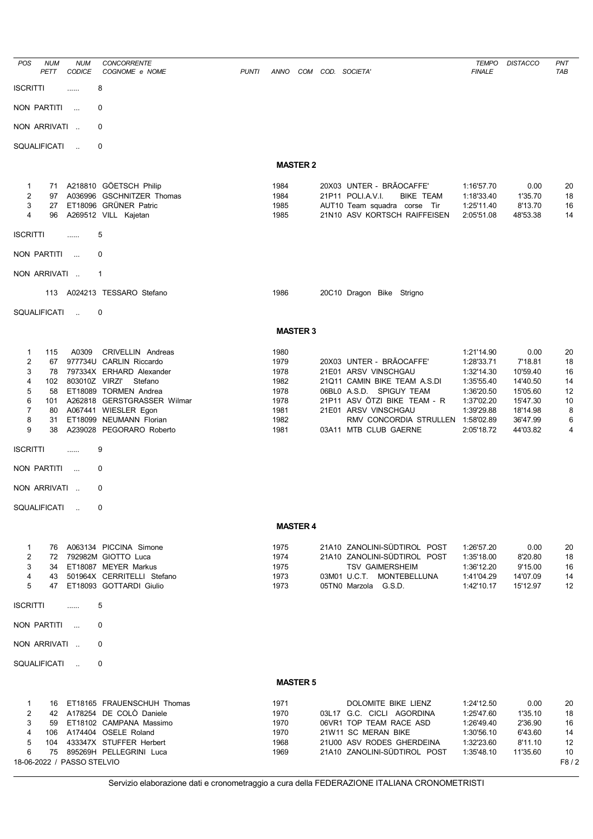| POS                 | <b>NUM</b> | <b>NUM</b>                 | <b>CONCORRENTE</b>                                  |              |                 |                  |                                                                       | <b>TEMPO</b>             | <b>DISTACCO</b>      | <b>PNT</b> |
|---------------------|------------|----------------------------|-----------------------------------------------------|--------------|-----------------|------------------|-----------------------------------------------------------------------|--------------------------|----------------------|------------|
|                     | PETT       | <b>CODICE</b>              | COGNOME e NOME                                      | <b>PUNTI</b> | ANNO            | COM COD. SOCIETA |                                                                       | <b>FINALE</b>            |                      | <b>TAB</b> |
| <b>ISCRITTI</b>     |            | .                          | 8                                                   |              |                 |                  |                                                                       |                          |                      |            |
| NON PARTITI         |            | $\sim$ . $\sim$            | 0                                                   |              |                 |                  |                                                                       |                          |                      |            |
| NON ARRIVATI        |            |                            | 0                                                   |              |                 |                  |                                                                       |                          |                      |            |
| <b>SQUALIFICATI</b> |            | $\ddot{\phantom{a}}$       | 0                                                   |              |                 |                  |                                                                       |                          |                      |            |
|                     |            |                            |                                                     |              | <b>MASTER 2</b> |                  |                                                                       |                          |                      |            |
| 1                   | 71         |                            | A218810 GÖETSCH Philip                              |              | 1984            |                  | 20X03 UNTER - BRÃOCAFFE'                                              | 1:16'57.70               | 0.00                 | 20         |
| $\overline{2}$<br>3 | 97<br>27   | A036996                    | <b>GSCHNITZER Thomas</b><br>ET18096 GRÜNER Patric   |              | 1984<br>1985    |                  | 21P11 POLI.A.V.I.<br><b>BIKE TEAM</b><br>AUT10 Team squadra corse Tir | 1:18'33.40<br>1:25'11.40 | 1'35.70<br>8'13.70   | 18<br>16   |
| 4                   | 96         |                            | A269512 VILL Kajetan                                |              | 1985            |                  | 21N10 ASV KORTSCH RAIFFEISEN                                          | 2:05'51.08               | 48'53.38             | 14         |
| <b>ISCRITTI</b>     |            |                            | 5                                                   |              |                 |                  |                                                                       |                          |                      |            |
| <b>NON PARTITI</b>  |            | $\sim$ .                   | $\Omega$                                            |              |                 |                  |                                                                       |                          |                      |            |
| NON ARRIVATI        |            |                            | $\mathbf{1}$                                        |              |                 |                  |                                                                       |                          |                      |            |
|                     | 113        |                            | A024213 TESSARO Stefano                             |              | 1986            |                  | 20C10 Dragon Bike Strigno                                             |                          |                      |            |
|                     |            |                            |                                                     |              |                 |                  |                                                                       |                          |                      |            |
| <b>SQUALIFICATI</b> |            | $\mathcal{L}_{\mathbf{r}}$ | 0                                                   |              |                 |                  |                                                                       |                          |                      |            |
|                     |            |                            |                                                     |              | <b>MASTER 3</b> |                  |                                                                       |                          |                      |            |
| 1                   | 115        | A0309                      | <b>CRIVELLIN</b> Andreas                            |              | 1980            |                  |                                                                       | 1:21'14.90               | 0.00                 | 20         |
| $\overline{2}$<br>3 | 67<br>78   |                            | 977734U CARLIN Riccardo<br>797334X ERHARD Alexander |              | 1979<br>1978    |                  | 20X03 UNTER - BRÃOCAFFE'<br>21E01 ARSV VINSCHGAU                      | 1:28'33.71<br>1:32'14.30 | 7'18.81<br>10'59.40  | 18<br>16   |
| 4                   | 102        | 803010Z VIRZI'             | Stefano                                             |              | 1982            |                  | 21Q11 CAMIN BIKE TEAM A.S.DI                                          | 1:35'55.40               | 14'40.50             | 14         |
| 5                   | 58         |                            | ET18089 TORMEN Andrea                               |              | 1978            |                  | 06BL0 A.S.D. SPIGUY TEAM                                              | 1:36'20.50               | 15'05.60             | 12         |
| 6                   | 101        |                            | A262818 GERSTGRASSER Wilmar                         |              | 1978            |                  | 21P11 ASV ÖTZI BIKE TEAM - R                                          | 1:37'02.20               | 15'47.30             | 10         |
| $\overline{7}$      | 80         |                            | A067441 WIESLER Egon                                |              | 1981            |                  | 21E01 ARSV VINSCHGAU                                                  | 1:39'29.88               | 18'14.98             | 8          |
| 8<br>9              | 31<br>38   |                            | ET18099 NEUMANN Florian<br>A239028 PEGORARO Roberto |              | 1982<br>1981    |                  | RMV CONCORDIA STRULLEN 1:58'02.89<br>03A11 MTB CLUB GAERNE            | 2:05'18.72               | 36'47.99<br>44'03.82 | 6<br>4     |
| <b>ISCRITTI</b>     |            | .                          | 9                                                   |              |                 |                  |                                                                       |                          |                      |            |
| <b>NON PARTITI</b>  |            | $\ddotsc$                  | 0                                                   |              |                 |                  |                                                                       |                          |                      |            |
| NON ARRIVATI        |            |                            | 0                                                   |              |                 |                  |                                                                       |                          |                      |            |
| SQUALIFICATI        |            | $\sim$                     | 0                                                   |              |                 |                  |                                                                       |                          |                      |            |
|                     |            |                            |                                                     |              | <b>MASTER 4</b> |                  |                                                                       |                          |                      |            |
|                     |            |                            |                                                     |              |                 |                  |                                                                       |                          |                      |            |
| 1                   |            |                            | 76 A063134 PICCINA Simone                           |              | 1975            |                  | 21A10 ZANOLINI-SÜDTIROL POST                                          | 1:26'57.20               | 0.00                 | 20         |
| $\overline{2}$<br>3 | 72         |                            | 792982M GIOTTO Luca<br>34 ET18087 MEYER Markus      |              | 1974<br>1975    |                  | 21A10 ZANOLINI-SÜDTIROL POST<br><b>TSV GAIMERSHEIM</b>                | 1:35'18.00<br>1:36'12.20 | 8'20.80<br>9'15.00   | 18<br>16   |
| 4                   |            |                            | 43 501964X CERRITELLI Stefano                       |              | 1973            |                  | 03M01 U.C.T. MONTEBELLUNA                                             | 1:41'04.29               | 14'07.09             | 14         |
| 5                   | 47         |                            | ET18093 GOTTARDI Giulio                             |              | 1973            |                  | 05TN0 Marzola G.S.D.                                                  | 1:42'10.17               | 15'12.97             | 12         |
| <b>ISCRITTI</b>     |            | .                          | 5                                                   |              |                 |                  |                                                                       |                          |                      |            |
| NON PARTITI         |            | $\sim$                     | 0                                                   |              |                 |                  |                                                                       |                          |                      |            |
| NON ARRIVATI        |            |                            | 0                                                   |              |                 |                  |                                                                       |                          |                      |            |
| SQUALIFICATI        |            | $\sim$                     | 0                                                   |              |                 |                  |                                                                       |                          |                      |            |
|                     |            |                            |                                                     |              | <b>MASTER 5</b> |                  |                                                                       |                          |                      |            |
| 1                   |            |                            | 16 ET18165 FRAUENSCHUH Thomas                       |              | 1971            |                  | DOLOMITE BIKE LIENZ                                                   | 1:24'12.50               | 0.00                 | 20         |
| $\overline{2}$      |            |                            | 42 A178254 DE COLO Daniele                          |              | 1970            |                  | 03L17 G.C. CICLI AGORDINA                                             | 1:25'47.60               | 1'35.10              | 18         |
| 3                   |            |                            | 59 ET18102 CAMPANA Massimo                          |              | 1970            |                  | 06VR1 TOP TEAM RACE ASD                                               | 1:26'49.40               | 2'36.90              | 16         |
| 4                   |            |                            | 106 A174404 OSELE Roland                            |              | 1970            |                  | 21W11 SC MERAN BIKE                                                   | 1:30'56.10               | 6'43.60              | 14         |
| 5                   |            |                            | 104 433347X STUFFER Herbert                         |              | 1968            |                  | 21U00 ASV RODES GHERDEINA                                             | 1:32'23.60               | 8'11.10              | 12         |
| 6                   |            | 18-06-2022 / PASSO STELVIO | 75 895269H PELLEGRINI Luca                          |              | 1969            |                  | 21A10 ZANOLINI-SÜDTIROL POST                                          | 1:35'48.10               | 11'35.60             | 10<br>F8/2 |
|                     |            |                            |                                                     |              |                 |                  |                                                                       |                          |                      |            |